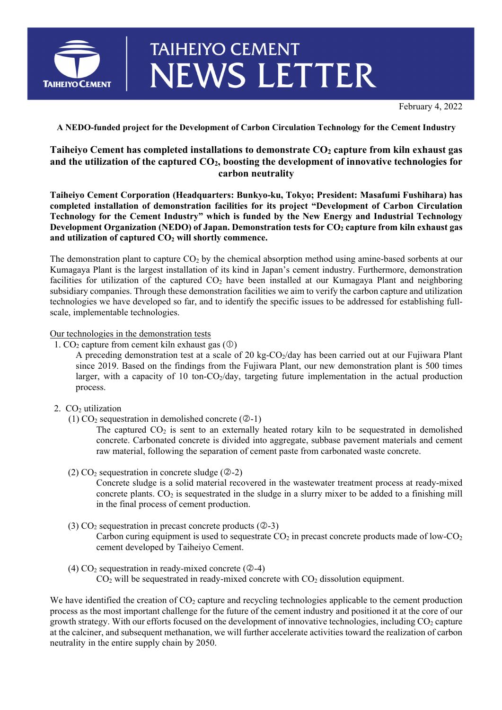

## **TAIHEIYO CEMENT NEWS LETTER**

February 4, 2022

**A NEDO-funded project for the Development of Carbon Circulation Technology for the Cement Industry** 

## **Taiheiyo Cement has completed installations to demonstrate CO2 capture from kiln exhaust gas**  and the utilization of the captured CO<sub>2</sub>, boosting the development of innovative technologies for **carbon neutrality**

**Taiheiyo Cement Corporation (Headquarters: Bunkyo-ku, Tokyo; President: Masafumi Fushihara) has completed installation of demonstration facilities for its project "Development of Carbon Circulation Technology for the Cement Industry" which is funded by the New Energy and Industrial Technology Development Organization (NEDO) of Japan. Demonstration tests for CO<sub>2</sub> capture from kiln exhaust gas and utilization of captured CO2 will shortly commence.** 

The demonstration plant to capture  $CO<sub>2</sub>$  by the chemical absorption method using amine-based sorbents at our Kumagaya Plant is the largest installation of its kind in Japan's cement industry. Furthermore, demonstration facilities for utilization of the captured  $CO<sub>2</sub>$  have been installed at our Kumagaya Plant and neighboring subsidiary companies. Through these demonstration facilities we aim to verify the carbon capture and utilization technologies we have developed so far, and to identify the specific issues to be addressed for establishing fullscale, implementable technologies.

## Our technologies in the demonstration tests

1.  $CO<sub>2</sub>$  capture from cement kiln exhaust gas  $(\mathbb{O})$ 

A preceding demonstration test at a scale of 20 kg-CO<sub>2</sub>/day has been carried out at our Fujiwara Plant since 2019. Based on the findings from the Fujiwara Plant, our new demonstration plant is 500 times larger, with a capacity of 10 ton- $CO_2$ /day, targeting future implementation in the actual production process.

- 2. CO<sub>2</sub> utilization
	- (1)  $CO<sub>2</sub>$  sequestration in demolished concrete ( $\textcircled{2-1}$ )

The captured  $CO<sub>2</sub>$  is sent to an externally heated rotary kiln to be sequestrated in demolished concrete. Carbonated concrete is divided into aggregate, subbase pavement materials and cement raw material, following the separation of cement paste from carbonated waste concrete.

(2)  $CO<sub>2</sub>$  sequestration in concrete sludge ( $\oslash$ -2)

Concrete sludge is a solid material recovered in the wastewater treatment process at ready-mixed concrete plants.  $CO<sub>2</sub>$  is sequestrated in the sludge in a slurry mixer to be added to a finishing mill in the final process of cement production.

(3)  $CO<sub>2</sub>$  sequestration in precast concrete products ( $Q - 3$ )

Carbon curing equipment is used to sequestrate  $CO<sub>2</sub>$  in precast concrete products made of low- $CO<sub>2</sub>$ cement developed by Taiheiyo Cement.

(4)  $CO<sub>2</sub>$  sequestration in ready-mixed concrete ( $\mathcal{Q}-4$ )  $CO<sub>2</sub>$  will be sequestrated in ready-mixed concrete with  $CO<sub>2</sub>$  dissolution equipment.

We have identified the creation of  $CO<sub>2</sub>$  capture and recycling technologies applicable to the cement production process as the most important challenge for the future of the cement industry and positioned it at the core of our growth strategy. With our efforts focused on the development of innovative technologies, including  $CO<sub>2</sub>$  capture at the calciner, and subsequent methanation, we will further accelerate activities toward the realization of carbon neutrality in the entire supply chain by 2050.